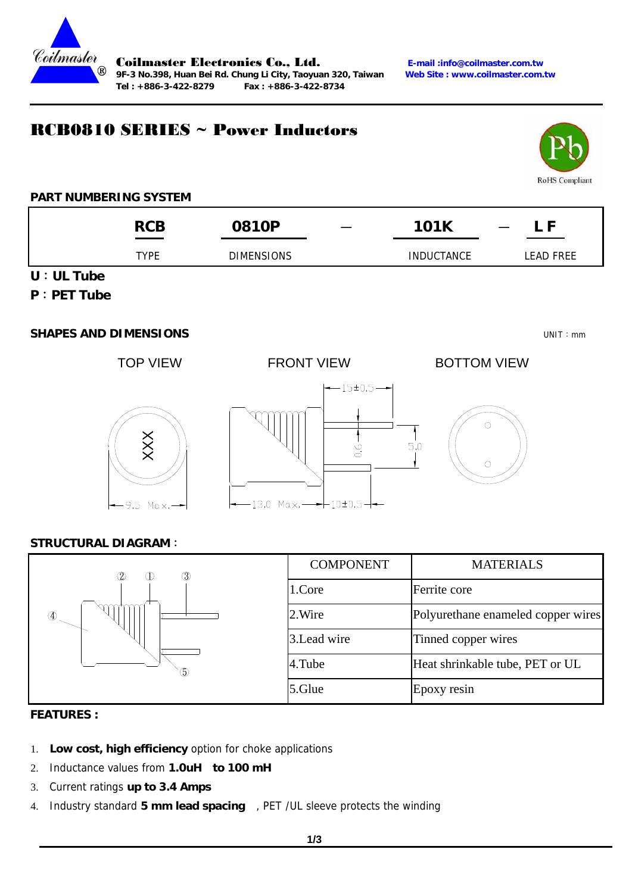

Coilmaster Electronics Co., Ltd. **E-mail :info@coilmaster.com.tw** 9F-3 No.398, Huan Bei Rd. Chung Li City, Taoyuan 320, Taiwan **Tel : +886-3-422-8279 Fax : +886-3-422-8734** 

### RCB0810 SERIES ~ Power Inductors



#### **PART NUMBERING SYSTEM**

|                                  | <b>RCB</b>  | 0810P             | المستنبذ | <b>101K</b>       | - F<br>$\overline{\phantom{m}}$ |
|----------------------------------|-------------|-------------------|----------|-------------------|---------------------------------|
|                                  | <b>TYPE</b> | <b>DIMENSIONS</b> |          | <b>INDUCTANCE</b> | <b>LEAD FREE</b>                |
| $11 \cdot 111$ T <sub>itha</sub> |             |                   |          |                   |                                 |

**U**:**UL Tube** 

#### **P**:**PET Tube**

#### **SHAPES AND DIMENSIONS** UNIT:mm

TOP VIEW FRONT VIEW BOTTOM VIEW





# $\circ$  $\cap$

#### **STRUCTURAL DIAGRAM**:

| $^{\circledR}$<br>(2)<br>$\langle$ 1 | <b>COMPONENT</b> | <b>MATERIALS</b>                   |
|--------------------------------------|------------------|------------------------------------|
|                                      | 1.Core           | Ferrite core                       |
| 200000                               | 2. Wire          | Polyurethane enameled copper wires |
|                                      | 3. Lead wire     | Tinned copper wires                |
| (5)                                  | 4.Tube           | Heat shrinkable tube, PET or UL    |
|                                      | 5.Glue           | Epoxy resin                        |

#### **FEATURES :**

- 1. **Low cost, high efficiency** option for choke applications
- 2. Inductance values from **1.0uH to 100 mH**
- 3. Current ratings **up to 3.4 Amps**
- 4. Industry standard **5 mm lead spacing** , PET /UL sleeve protects the winding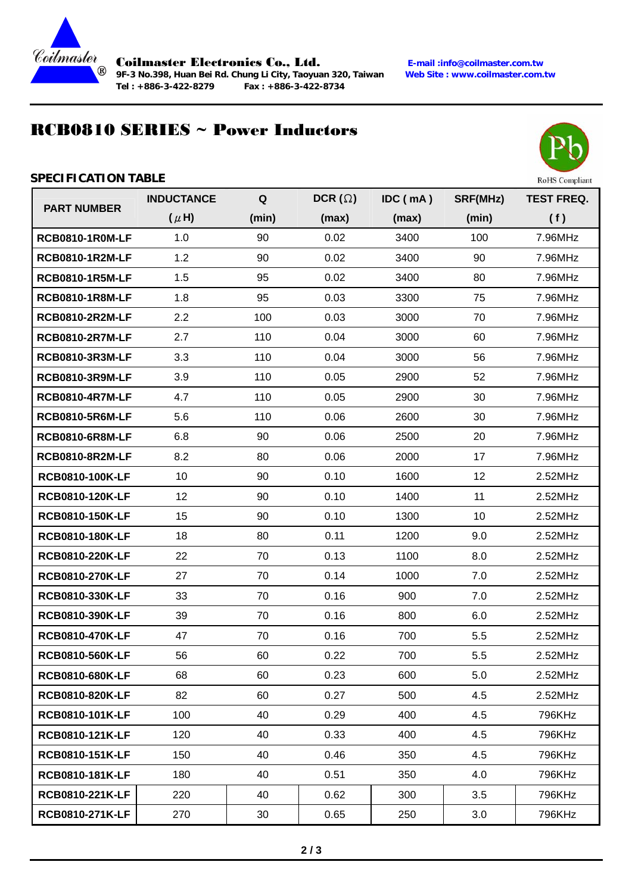

**9F-3 No.398, Huan Bei Rd. Chung Li City, Taoyuan 320, Taiwan Site : www.com.twarehouse : www.com.twarehouse : www.com.twarehouse : www.com.twarehouse : www.com.twarehouse : www.com.twarehouse : www.com.twarehouse : www.co Tel : +886-3-422-8279 Fax : +886-3-422-8734** 

Coilmaster Electronics Co., Ltd. **E-mail :info@coilmaster.com.tw**

## RCB0810 SERIES ~ Power Inductors



#### **SPECIFICATION TABLE**

| <b>PART NUMBER</b>     | <b>INDUCTANCE</b> | Q     | DCR $(\Omega)$ | IDC (mA) | SRF(MHz) | <b>TEST FREQ.</b> |
|------------------------|-------------------|-------|----------------|----------|----------|-------------------|
|                        | $(\mu H)$         | (min) | (max)          | (max)    | (min)    | (f)               |
| <b>RCB0810-1R0M-LF</b> | 1.0               | 90    | 0.02           | 3400     | 100      | 7.96MHz           |
| <b>RCB0810-1R2M-LF</b> | 1.2               | 90    | 0.02           | 3400     | 90       | 7.96MHz           |
| <b>RCB0810-1R5M-LF</b> | 1.5               | 95    | 0.02           | 3400     | 80       | 7.96MHz           |
| <b>RCB0810-1R8M-LF</b> | 1.8               | 95    | 0.03           | 3300     | 75       | 7.96MHz           |
| <b>RCB0810-2R2M-LF</b> | 2.2               | 100   | 0.03           | 3000     | 70       | 7.96MHz           |
| <b>RCB0810-2R7M-LF</b> | 2.7               | 110   | 0.04           | 3000     | 60       | 7.96MHz           |
| <b>RCB0810-3R3M-LF</b> | 3.3               | 110   | 0.04           | 3000     | 56       | 7.96MHz           |
| <b>RCB0810-3R9M-LF</b> | 3.9               | 110   | 0.05           | 2900     | 52       | 7.96MHz           |
| <b>RCB0810-4R7M-LF</b> | 4.7               | 110   | 0.05           | 2900     | 30       | 7.96MHz           |
| <b>RCB0810-5R6M-LF</b> | 5.6               | 110   | 0.06           | 2600     | 30       | 7.96MHz           |
| <b>RCB0810-6R8M-LF</b> | 6.8               | 90    | 0.06           | 2500     | 20       | 7.96MHz           |
| <b>RCB0810-8R2M-LF</b> | 8.2               | 80    | 0.06           | 2000     | 17       | 7.96MHz           |
| RCB0810-100K-LF        | 10                | 90    | 0.10           | 1600     | 12       | 2.52MHz           |
| RCB0810-120K-LF        | 12                | 90    | 0.10           | 1400     | 11       | 2.52MHz           |
| RCB0810-150K-LF        | 15                | 90    | 0.10           | 1300     | 10       | 2.52MHz           |
| RCB0810-180K-LF        | 18                | 80    | 0.11           | 1200     | 9.0      | 2.52MHz           |
| RCB0810-220K-LF        | 22                | 70    | 0.13           | 1100     | 8.0      | 2.52MHz           |
| RCB0810-270K-LF        | 27                | 70    | 0.14           | 1000     | 7.0      | 2.52MHz           |
| RCB0810-330K-LF        | 33                | 70    | 0.16           | 900      | 7.0      | 2.52MHz           |
| RCB0810-390K-LF        | 39                | 70    | 0.16           | 800      | 6.0      | 2.52MHz           |
| RCB0810-470K-LF        | 47                | 70    | 0.16           | 700      | 5.5      | 2.52MHz           |
| RCB0810-560K-LF        | 56                | 60    | 0.22           | 700      | 5.5      | 2.52MHz           |
| RCB0810-680K-LF        | 68                | 60    | 0.23           | 600      | 5.0      | 2.52MHz           |
| RCB0810-820K-LF        | 82                | 60    | 0.27           | 500      | 4.5      | 2.52MHz           |
| RCB0810-101K-LF        | 100               | 40    | 0.29           | 400      | 4.5      | 796KHz            |
| RCB0810-121K-LF        | 120               | 40    | 0.33           | 400      | 4.5      | 796KHz            |
| RCB0810-151K-LF        | 150               | 40    | 0.46           | 350      | 4.5      | 796KHz            |
| RCB0810-181K-LF        | 180               | 40    | 0.51           | 350      | 4.0      | 796KHz            |
| RCB0810-221K-LF        | 220               | 40    | 0.62           | 300      | 3.5      | 796KHz            |
| RCB0810-271K-LF        | 270               | 30    | 0.65           | 250      | 3.0      | 796KHz            |